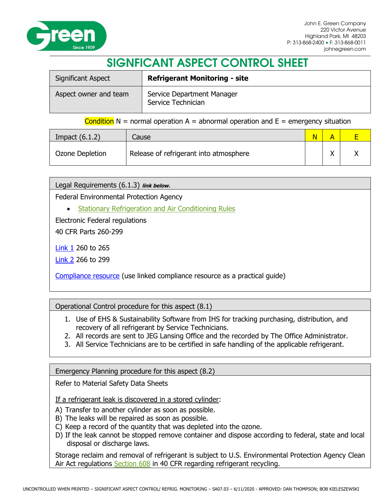

# SIGNFICANT ASPECT CONTROL SHEET

| <b>Significant Aspect</b> | <b>Refrigerant Monitoring - site</b>             |
|---------------------------|--------------------------------------------------|
| Aspect owner and team     | Service Department Manager<br>Service Technician |

### Condition  $N =$  normal operation  $A =$  abnormal operation and  $E =$  emergency situation

| Impact $(6.1.2)$ | Cause                                  |  |  |
|------------------|----------------------------------------|--|--|
| Ozone Depletion  | Release of refrigerant into atmosphere |  |  |

Legal Requirements (6.1.3) **link below**.

Federal Environmental Protection Agency

• [Stationary Refrigeration and Air Conditioning Rules](https://www.epa.gov/section608)

Electronic Federal regulations

40 CFR Parts 260-299

[Link 1](http://www.ecfr.gov/cgi-bin/text-idx?SID=bd10d128de79b4d6ff13d27f43ab05ac&c=ecfr&tpl=/ecfrbrowse/Title40/40cfrv27_02.tpl) 260 to 265

[Link 2](http://www.ecfr.gov/cgi-bin/text-idx?SID=bd10d128de79b4d6ff13d27f43ab05ac&c=ecfr&tpl=/ecfrbrowse/Title40/40cfrv28_02.tpl) 266 to 299

[Compliance resource](http://www.epa.gov/compliance/resources/publications/assistance/sectors/constructmyer/) (use linked compliance resource as a practical guide)

Operational Control procedure for this aspect (8.1)

- 1. Use of EHS & Sustainability Software from IHS for tracking purchasing, distribution, and recovery of all refrigerant by Service Technicians.
- 2. All records are sent to JEG Lansing Office and the recorded by The Office Administrator.
- 3. All Service Technicians are to be certified in safe handling of the applicable refrigerant.

Emergency Planning procedure for this aspect (8.2)

Refer to Material Safety Data Sheets

If a refrigerant leak is discovered in a stored cylinder:

- A) Transfer to another cylinder as soon as possible.
- B) The leaks will be repaired as soon as possible.
- C) Keep a record of the quantity that was depleted into the ozone.
- D) If the leak cannot be stopped remove container and dispose according to federal, state and local disposal or discharge laws.

Storage reclaim and removal of refrigerant is subject to U.S. Environmental Protection Agency Clean Air Act regulations [Section 608](https://www.epa.gov/section608/section-608-technician-certification) in 40 CFR regarding refrigerant recycling.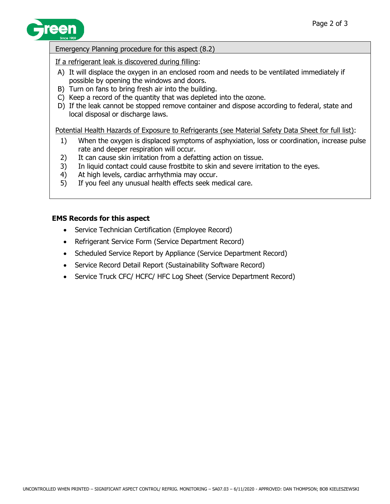

### Emergency Planning procedure for this aspect (8.2)

If a refrigerant leak is discovered during filling:

- A) It will displace the oxygen in an enclosed room and needs to be ventilated immediately if possible by opening the windows and doors.
- B) Turn on fans to bring fresh air into the building.
- C) Keep a record of the quantity that was depleted into the ozone.
- D) If the leak cannot be stopped remove container and dispose according to federal, state and local disposal or discharge laws.

Potential Health Hazards of Exposure to Refrigerants (see Material Safety Data Sheet for full list):

- 1) When the oxygen is displaced symptoms of asphyxiation, loss or coordination, increase pulse rate and deeper respiration will occur.
- 2) It can cause skin irritation from a defatting action on tissue.
- 3) In liquid contact could cause frostbite to skin and severe irritation to the eyes.
- 4) At high levels, cardiac arrhythmia may occur.
- 5) If you feel any unusual health effects seek medical care.

## **EMS Records for this aspect**

- Service Technician Certification (Employee Record)
- Refrigerant Service Form (Service Department Record)
- Scheduled Service Report by Appliance (Service Department Record)
- Service Record Detail Report (Sustainability Software Record)
- Service Truck CFC/ HCFC/ HFC Log Sheet (Service Department Record)